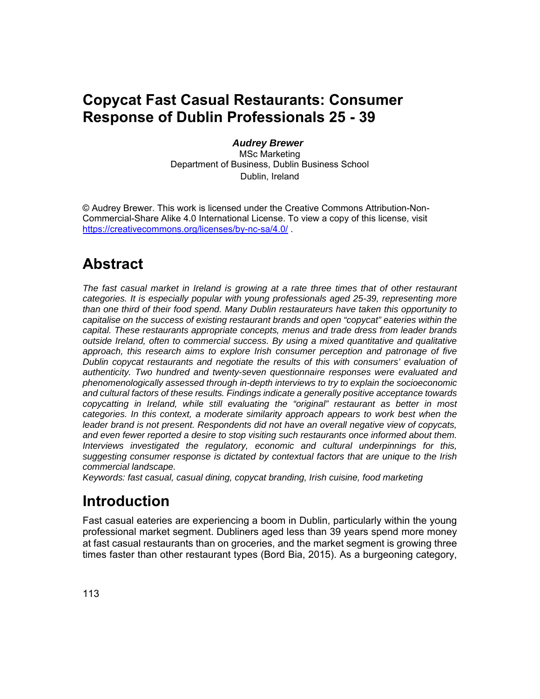### **Copycat Fast Casual Restaurants: Consumer Response of Dublin Professionals 25 - 39**

#### *Audrey Brewer*

MSc Marketing Department of Business, Dublin Business School Dublin, Ireland

© Audrey Brewer. This work is licensed under the Creative Commons Attribution-Non-Commercial-Share Alike 4.0 International License. To view a copy of this license, visit https://creativecommons.org/licenses/by-nc-sa/4.0/ .

### **Abstract**

*The fast casual market in Ireland is growing at a rate three times that of other restaurant categories. It is especially popular with young professionals aged 25-39, representing more than one third of their food spend. Many Dublin restaurateurs have taken this opportunity to capitalise on the success of existing restaurant brands and open "copycat" eateries within the capital. These restaurants appropriate concepts, menus and trade dress from leader brands outside Ireland, often to commercial success. By using a mixed quantitative and qualitative approach, this research aims to explore Irish consumer perception and patronage of five Dublin copycat restaurants and negotiate the results of this with consumers' evaluation of authenticity. Two hundred and twenty-seven questionnaire responses were evaluated and phenomenologically assessed through in-depth interviews to try to explain the socioeconomic and cultural factors of these results. Findings indicate a generally positive acceptance towards copycatting in Ireland, while still evaluating the "original" restaurant as better in most categories. In this context, a moderate similarity approach appears to work best when the leader brand is not present. Respondents did not have an overall negative view of copycats, and even fewer reported a desire to stop visiting such restaurants once informed about them. Interviews investigated the regulatory, economic and cultural underpinnings for this, suggesting consumer response is dictated by contextual factors that are unique to the Irish commercial landscape.* 

*Keywords: fast casual, casual dining, copycat branding, Irish cuisine, food marketing* 

## **Introduction**

Fast casual eateries are experiencing a boom in Dublin, particularly within the young professional market segment. Dubliners aged less than 39 years spend more money at fast casual restaurants than on groceries, and the market segment is growing three times faster than other restaurant types (Bord Bia, 2015). As a burgeoning category,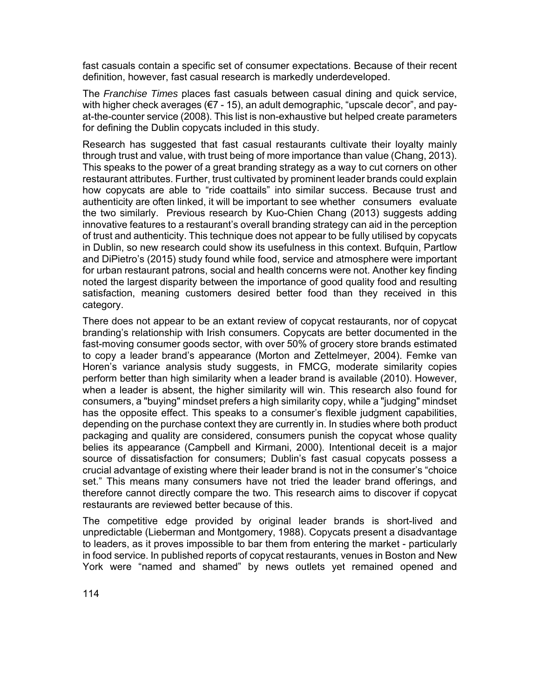fast casuals contain a specific set of consumer expectations. Because of their recent definition, however, fast casual research is markedly underdeveloped.

The *Franchise Times* places fast casuals between casual dining and quick service, with higher check averages (€7 - 15), an adult demographic, "upscale decor", and payat-the-counter service (2008). This list is non-exhaustive but helped create parameters for defining the Dublin copycats included in this study.

Research has suggested that fast casual restaurants cultivate their loyalty mainly through trust and value, with trust being of more importance than value (Chang, 2013). This speaks to the power of a great branding strategy as a way to cut corners on other restaurant attributes. Further, trust cultivated by prominent leader brands could explain how copycats are able to "ride coattails" into similar success. Because trust and authenticity are often linked, it will be important to see whether consumers evaluate the two similarly. Previous research by Kuo-Chien Chang (2013) suggests adding innovative features to a restaurant's overall branding strategy can aid in the perception of trust and authenticity. This technique does not appear to be fully utilised by copycats in Dublin, so new research could show its usefulness in this context. Bufquin, Partlow and DiPietro's (2015) study found while food, service and atmosphere were important for urban restaurant patrons, social and health concerns were not. Another key finding noted the largest disparity between the importance of good quality food and resulting satisfaction, meaning customers desired better food than they received in this category.

There does not appear to be an extant review of copycat restaurants, nor of copycat branding's relationship with Irish consumers. Copycats are better documented in the fast-moving consumer goods sector, with over 50% of grocery store brands estimated to copy a leader brand's appearance (Morton and Zettelmeyer, 2004). Femke van Horen's variance analysis study suggests, in FMCG, moderate similarity copies perform better than high similarity when a leader brand is available (2010). However, when a leader is absent, the higher similarity will win. This research also found for consumers, a "buying" mindset prefers a high similarity copy, while a "judging" mindset has the opposite effect. This speaks to a consumer's flexible judgment capabilities, depending on the purchase context they are currently in. In studies where both product packaging and quality are considered, consumers punish the copycat whose quality belies its appearance (Campbell and Kirmani, 2000). Intentional deceit is a major source of dissatisfaction for consumers; Dublin's fast casual copycats possess a crucial advantage of existing where their leader brand is not in the consumer's "choice set." This means many consumers have not tried the leader brand offerings, and therefore cannot directly compare the two. This research aims to discover if copycat restaurants are reviewed better because of this.

The competitive edge provided by original leader brands is short-lived and unpredictable (Lieberman and Montgomery, 1988). Copycats present a disadvantage to leaders, as it proves impossible to bar them from entering the market - particularly in food service. In published reports of copycat restaurants, venues in Boston and New York were "named and shamed" by news outlets yet remained opened and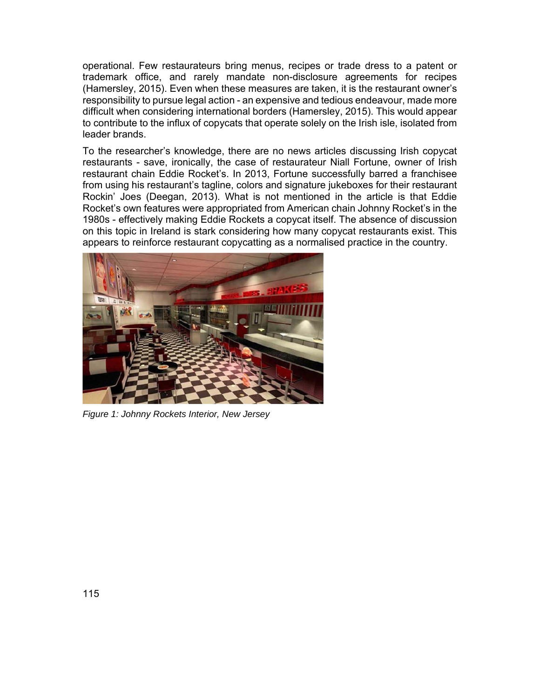operational. Few restaurateurs bring menus, recipes or trade dress to a patent or trademark office, and rarely mandate non-disclosure agreements for recipes (Hamersley, 2015). Even when these measures are taken, it is the restaurant owner's responsibility to pursue legal action - an expensive and tedious endeavour, made more difficult when considering international borders (Hamersley, 2015). This would appear to contribute to the influx of copycats that operate solely on the Irish isle, isolated from leader brands.

To the researcher's knowledge, there are no news articles discussing Irish copycat restaurants - save, ironically, the case of restaurateur Niall Fortune, owner of Irish restaurant chain Eddie Rocket's. In 2013, Fortune successfully barred a franchisee from using his restaurant's tagline, colors and signature jukeboxes for their restaurant Rockin' Joes (Deegan, 2013). What is not mentioned in the article is that Eddie Rocket's own features were appropriated from American chain Johnny Rocket's in the 1980s - effectively making Eddie Rockets a copycat itself. The absence of discussion on this topic in Ireland is stark considering how many copycat restaurants exist. This appears to reinforce restaurant copycatting as a normalised practice in the country.



*Figure 1: Johnny Rockets Interior, New Jersey*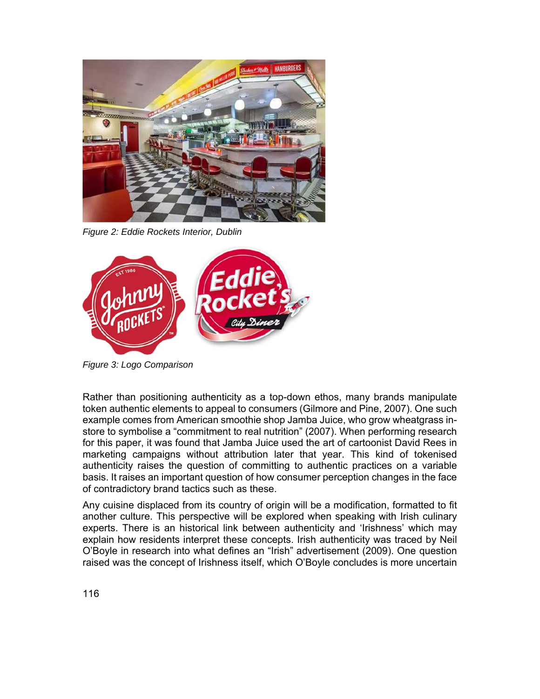

*Figure 2: Eddie Rockets Interior, Dublin*



*Figure 3: Logo Comparison*

Rather than positioning authenticity as a top-down ethos, many brands manipulate token authentic elements to appeal to consumers (Gilmore and Pine, 2007). One such example comes from American smoothie shop Jamba Juice, who grow wheatgrass instore to symbolise a "commitment to real nutrition" (2007). When performing research for this paper, it was found that Jamba Juice used the art of cartoonist David Rees in marketing campaigns without attribution later that year. This kind of tokenised authenticity raises the question of committing to authentic practices on a variable basis. It raises an important question of how consumer perception changes in the face of contradictory brand tactics such as these.

Any cuisine displaced from its country of origin will be a modification, formatted to fit another culture. This perspective will be explored when speaking with Irish culinary experts. There is an historical link between authenticity and 'Irishness' which may explain how residents interpret these concepts. Irish authenticity was traced by Neil O'Boyle in research into what defines an "Irish" advertisement (2009). One question raised was the concept of Irishness itself, which O'Boyle concludes is more uncertain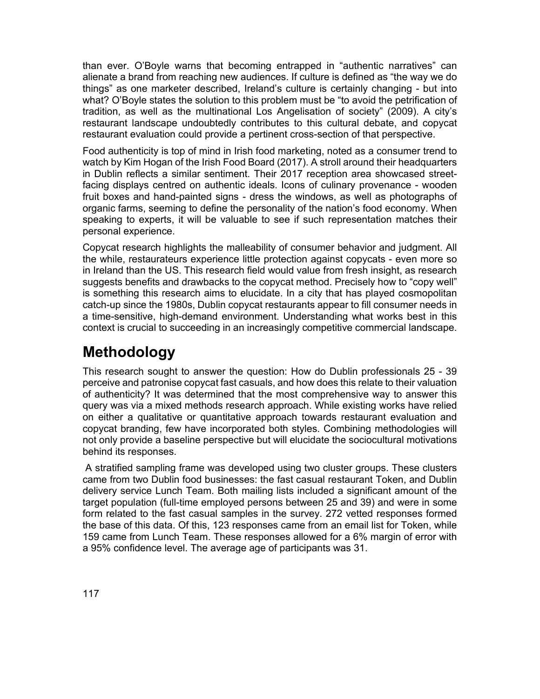than ever. O'Boyle warns that becoming entrapped in "authentic narratives" can alienate a brand from reaching new audiences. If culture is defined as "the way we do things" as one marketer described, Ireland's culture is certainly changing - but into what? O'Boyle states the solution to this problem must be "to avoid the petrification of tradition, as well as the multinational Los Angelisation of society" (2009). A city's restaurant landscape undoubtedly contributes to this cultural debate, and copycat restaurant evaluation could provide a pertinent cross-section of that perspective.

Food authenticity is top of mind in Irish food marketing, noted as a consumer trend to watch by Kim Hogan of the Irish Food Board (2017). A stroll around their headquarters in Dublin reflects a similar sentiment. Their 2017 reception area showcased streetfacing displays centred on authentic ideals. Icons of culinary provenance - wooden fruit boxes and hand-painted signs - dress the windows, as well as photographs of organic farms, seeming to define the personality of the nation's food economy. When speaking to experts, it will be valuable to see if such representation matches their personal experience.

Copycat research highlights the malleability of consumer behavior and judgment. All the while, restaurateurs experience little protection against copycats - even more so in Ireland than the US. This research field would value from fresh insight, as research suggests benefits and drawbacks to the copycat method. Precisely how to "copy well" is something this research aims to elucidate. In a city that has played cosmopolitan catch-up since the 1980s, Dublin copycat restaurants appear to fill consumer needs in a time-sensitive, high-demand environment. Understanding what works best in this context is crucial to succeeding in an increasingly competitive commercial landscape.

## **Methodology**

This research sought to answer the question: How do Dublin professionals 25 - 39 perceive and patronise copycat fast casuals, and how does this relate to their valuation of authenticity? It was determined that the most comprehensive way to answer this query was via a mixed methods research approach. While existing works have relied on either a qualitative or quantitative approach towards restaurant evaluation and copycat branding, few have incorporated both styles. Combining methodologies will not only provide a baseline perspective but will elucidate the sociocultural motivations behind its responses.

 A stratified sampling frame was developed using two cluster groups. These clusters came from two Dublin food businesses: the fast casual restaurant Token, and Dublin delivery service Lunch Team. Both mailing lists included a significant amount of the target population (full-time employed persons between 25 and 39) and were in some form related to the fast casual samples in the survey. 272 vetted responses formed the base of this data. Of this, 123 responses came from an email list for Token, while 159 came from Lunch Team. These responses allowed for a 6% margin of error with a 95% confidence level. The average age of participants was 31.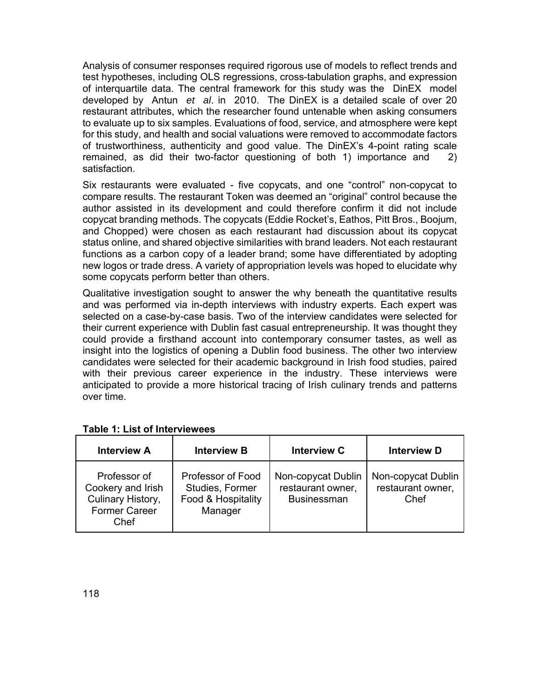Analysis of consumer responses required rigorous use of models to reflect trends and test hypotheses, including OLS regressions, cross-tabulation graphs, and expression of interquartile data. The central framework for this study was the DinEX model developed by Antun *et al*. in 2010. The DinEX is a detailed scale of over 20 restaurant attributes, which the researcher found untenable when asking consumers to evaluate up to six samples. Evaluations of food, service, and atmosphere were kept for this study, and health and social valuations were removed to accommodate factors of trustworthiness, authenticity and good value. The DinEX's 4-point rating scale remained, as did their two-factor questioning of both 1) importance and 2) satisfaction.

Six restaurants were evaluated - five copycats, and one "control" non-copycat to compare results. The restaurant Token was deemed an "original" control because the author assisted in its development and could therefore confirm it did not include copycat branding methods. The copycats (Eddie Rocket's, Eathos, Pitt Bros., Boojum, and Chopped) were chosen as each restaurant had discussion about its copycat status online, and shared objective similarities with brand leaders. Not each restaurant functions as a carbon copy of a leader brand; some have differentiated by adopting new logos or trade dress. A variety of appropriation levels was hoped to elucidate why some copycats perform better than others.

Qualitative investigation sought to answer the why beneath the quantitative results and was performed via in-depth interviews with industry experts. Each expert was selected on a case-by-case basis. Two of the interview candidates were selected for their current experience with Dublin fast casual entrepreneurship. It was thought they could provide a firsthand account into contemporary consumer tastes, as well as insight into the logistics of opening a Dublin food business. The other two interview candidates were selected for their academic background in Irish food studies, paired with their previous career experience in the industry. These interviews were anticipated to provide a more historical tracing of Irish culinary trends and patterns over time.

| <b>Interview A</b>                                                                     | <b>Interview B</b>                                                    | <b>Interview C</b>                                            | <b>Interview D</b>                              |
|----------------------------------------------------------------------------------------|-----------------------------------------------------------------------|---------------------------------------------------------------|-------------------------------------------------|
| Professor of<br>Cookery and Irish<br>Culinary History,<br><b>Former Career</b><br>Chef | Professor of Food<br>Studies, Former<br>Food & Hospitality<br>Manager | Non-copycat Dublin<br>restaurant owner,<br><b>Businessman</b> | Non-copycat Dublin<br>restaurant owner,<br>Chef |

#### **Table 1: List of Interviewees**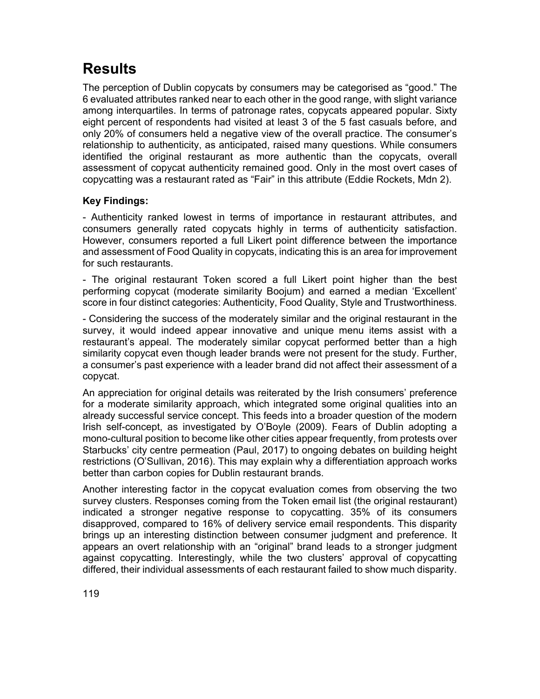## **Results**

The perception of Dublin copycats by consumers may be categorised as "good." The 6 evaluated attributes ranked near to each other in the good range, with slight variance among interquartiles. In terms of patronage rates, copycats appeared popular. Sixty eight percent of respondents had visited at least 3 of the 5 fast casuals before, and only 20% of consumers held a negative view of the overall practice. The consumer's relationship to authenticity, as anticipated, raised many questions. While consumers identified the original restaurant as more authentic than the copycats, overall assessment of copycat authenticity remained good. Only in the most overt cases of copycatting was a restaurant rated as "Fair" in this attribute (Eddie Rockets, Mdn 2).

#### **Key Findings:**

- Authenticity ranked lowest in terms of importance in restaurant attributes, and consumers generally rated copycats highly in terms of authenticity satisfaction. However, consumers reported a full Likert point difference between the importance and assessment of Food Quality in copycats, indicating this is an area for improvement for such restaurants.

- The original restaurant Token scored a full Likert point higher than the best performing copycat (moderate similarity Boojum) and earned a median 'Excellent' score in four distinct categories: Authenticity, Food Quality, Style and Trustworthiness.

- Considering the success of the moderately similar and the original restaurant in the survey, it would indeed appear innovative and unique menu items assist with a restaurant's appeal. The moderately similar copycat performed better than a high similarity copycat even though leader brands were not present for the study. Further, a consumer's past experience with a leader brand did not affect their assessment of a copycat.

An appreciation for original details was reiterated by the Irish consumers' preference for a moderate similarity approach, which integrated some original qualities into an already successful service concept. This feeds into a broader question of the modern Irish self-concept, as investigated by O'Boyle (2009). Fears of Dublin adopting a mono-cultural position to become like other cities appear frequently, from protests over Starbucks' city centre permeation (Paul, 2017) to ongoing debates on building height restrictions (O'Sullivan, 2016). This may explain why a differentiation approach works better than carbon copies for Dublin restaurant brands.

Another interesting factor in the copycat evaluation comes from observing the two survey clusters. Responses coming from the Token email list (the original restaurant) indicated a stronger negative response to copycatting. 35% of its consumers disapproved, compared to 16% of delivery service email respondents. This disparity brings up an interesting distinction between consumer judgment and preference. It appears an overt relationship with an "original" brand leads to a stronger judgment against copycatting. Interestingly, while the two clusters' approval of copycatting differed, their individual assessments of each restaurant failed to show much disparity.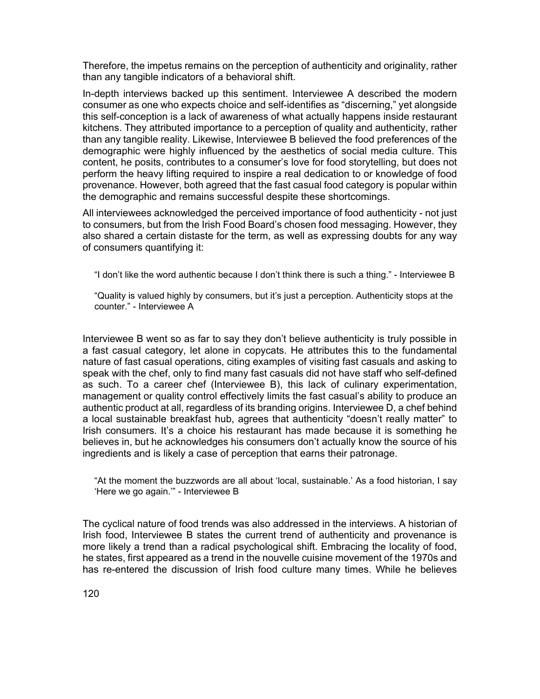Therefore, the impetus remains on the perception of authenticity and originality, rather than any tangible indicators of a behavioral shift.

In-depth interviews backed up this sentiment. Interviewee A described the modern consumer as one who expects choice and self-identifies as "discerning," yet alongside this self-conception is a lack of awareness of what actually happens inside restaurant kitchens. They attributed importance to a perception of quality and authenticity, rather than any tangible reality. Likewise, Interviewee B believed the food preferences of the demographic were highly influenced by the aesthetics of social media culture. This content, he posits, contributes to a consumer's love for food storytelling, but does not perform the heavy lifting required to inspire a real dedication to or knowledge of food provenance. However, both agreed that the fast casual food category is popular within the demographic and remains successful despite these shortcomings.

All interviewees acknowledged the perceived importance of food authenticity - not just to consumers, but from the Irish Food Board's chosen food messaging. However, they also shared a certain distaste for the term, as well as expressing doubts for any way of consumers quantifying it:

"I don't like the word authentic because I don't think there is such a thing." - Interviewee B

"Quality is valued highly by consumers, but it's just a perception. Authenticity stops at the counter." - Interviewee A

Interviewee B went so as far to say they don't believe authenticity is truly possible in a fast casual category, let alone in copycats. He attributes this to the fundamental nature of fast casual operations, citing examples of visiting fast casuals and asking to speak with the chef, only to find many fast casuals did not have staff who self-defined as such. To a career chef (Interviewee B), this lack of culinary experimentation, management or quality control effectively limits the fast casual's ability to produce an authentic product at all, regardless of its branding origins. Interviewee D, a chef behind a local sustainable breakfast hub, agrees that authenticity "doesn't really matter" to Irish consumers. It's a choice his restaurant has made because it is something he believes in, but he acknowledges his consumers don't actually know the source of his ingredients and is likely a case of perception that earns their patronage.

"At the moment the buzzwords are all about 'local, sustainable.' As a food historian, I say 'Here we go again.'" - Interviewee B

The cyclical nature of food trends was also addressed in the interviews. A historian of Irish food, Interviewee B states the current trend of authenticity and provenance is more likely a trend than a radical psychological shift. Embracing the locality of food, he states, first appeared as a trend in the nouvelle cuisine movement of the 1970s and has re-entered the discussion of Irish food culture many times. While he believes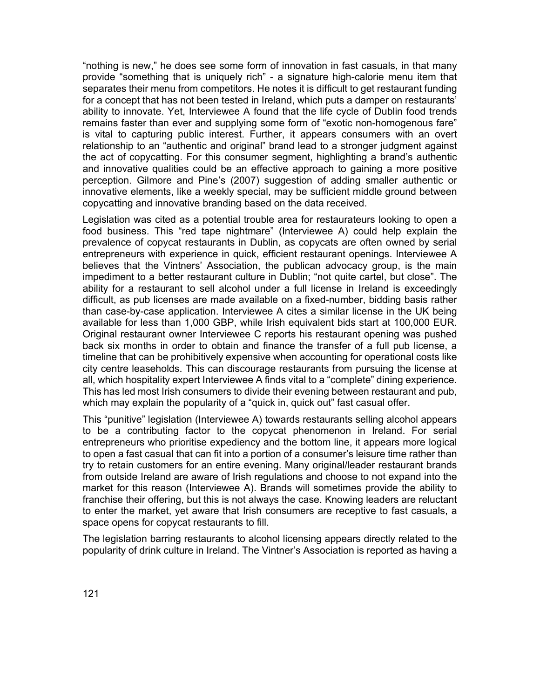"nothing is new," he does see some form of innovation in fast casuals, in that many provide "something that is uniquely rich" - a signature high-calorie menu item that separates their menu from competitors. He notes it is difficult to get restaurant funding for a concept that has not been tested in Ireland, which puts a damper on restaurants' ability to innovate. Yet, Interviewee A found that the life cycle of Dublin food trends remains faster than ever and supplying some form of "exotic non-homogenous fare" is vital to capturing public interest. Further, it appears consumers with an overt relationship to an "authentic and original" brand lead to a stronger judgment against the act of copycatting. For this consumer segment, highlighting a brand's authentic and innovative qualities could be an effective approach to gaining a more positive perception. Gilmore and Pine's (2007) suggestion of adding smaller authentic or innovative elements, like a weekly special, may be sufficient middle ground between copycatting and innovative branding based on the data received.

Legislation was cited as a potential trouble area for restaurateurs looking to open a food business. This "red tape nightmare" (Interviewee A) could help explain the prevalence of copycat restaurants in Dublin, as copycats are often owned by serial entrepreneurs with experience in quick, efficient restaurant openings. Interviewee A believes that the Vintners' Association, the publican advocacy group, is the main impediment to a better restaurant culture in Dublin; "not quite cartel, but close". The ability for a restaurant to sell alcohol under a full license in Ireland is exceedingly difficult, as pub licenses are made available on a fixed-number, bidding basis rather than case-by-case application. Interviewee A cites a similar license in the UK being available for less than 1,000 GBP, while Irish equivalent bids start at 100,000 EUR. Original restaurant owner Interviewee C reports his restaurant opening was pushed back six months in order to obtain and finance the transfer of a full pub license, a timeline that can be prohibitively expensive when accounting for operational costs like city centre leaseholds. This can discourage restaurants from pursuing the license at all, which hospitality expert Interviewee A finds vital to a "complete" dining experience. This has led most Irish consumers to divide their evening between restaurant and pub, which may explain the popularity of a "quick in, quick out" fast casual offer.

This "punitive" legislation (Interviewee A) towards restaurants selling alcohol appears to be a contributing factor to the copycat phenomenon in Ireland. For serial entrepreneurs who prioritise expediency and the bottom line, it appears more logical to open a fast casual that can fit into a portion of a consumer's leisure time rather than try to retain customers for an entire evening. Many original/leader restaurant brands from outside Ireland are aware of Irish regulations and choose to not expand into the market for this reason (Interviewee A). Brands will sometimes provide the ability to franchise their offering, but this is not always the case. Knowing leaders are reluctant to enter the market, yet aware that Irish consumers are receptive to fast casuals, a space opens for copycat restaurants to fill.

The legislation barring restaurants to alcohol licensing appears directly related to the popularity of drink culture in Ireland. The Vintner's Association is reported as having a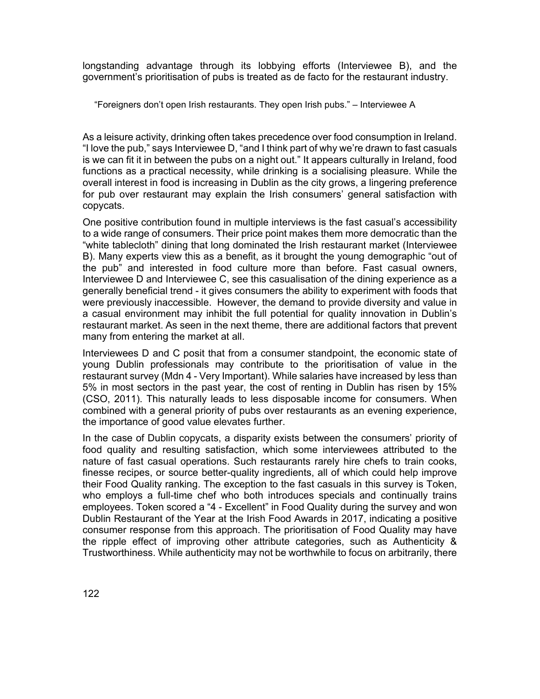longstanding advantage through its lobbying efforts (Interviewee B), and the government's prioritisation of pubs is treated as de facto for the restaurant industry.

"Foreigners don't open Irish restaurants. They open Irish pubs." – Interviewee A

As a leisure activity, drinking often takes precedence over food consumption in Ireland. "I love the pub," says Interviewee D, "and I think part of why we're drawn to fast casuals is we can fit it in between the pubs on a night out." It appears culturally in Ireland, food functions as a practical necessity, while drinking is a socialising pleasure. While the overall interest in food is increasing in Dublin as the city grows, a lingering preference for pub over restaurant may explain the Irish consumers' general satisfaction with copycats.

One positive contribution found in multiple interviews is the fast casual's accessibility to a wide range of consumers. Their price point makes them more democratic than the "white tablecloth" dining that long dominated the Irish restaurant market (Interviewee B). Many experts view this as a benefit, as it brought the young demographic "out of the pub" and interested in food culture more than before. Fast casual owners, Interviewee D and Interviewee C, see this casualisation of the dining experience as a generally beneficial trend - it gives consumers the ability to experiment with foods that were previously inaccessible. However, the demand to provide diversity and value in a casual environment may inhibit the full potential for quality innovation in Dublin's restaurant market. As seen in the next theme, there are additional factors that prevent many from entering the market at all.

Interviewees D and C posit that from a consumer standpoint, the economic state of young Dublin professionals may contribute to the prioritisation of value in the restaurant survey (Mdn 4 - Very Important). While salaries have increased by less than 5% in most sectors in the past year, the cost of renting in Dublin has risen by 15% (CSO, 2011). This naturally leads to less disposable income for consumers. When combined with a general priority of pubs over restaurants as an evening experience, the importance of good value elevates further.

In the case of Dublin copycats, a disparity exists between the consumers' priority of food quality and resulting satisfaction, which some interviewees attributed to the nature of fast casual operations. Such restaurants rarely hire chefs to train cooks, finesse recipes, or source better-quality ingredients, all of which could help improve their Food Quality ranking. The exception to the fast casuals in this survey is Token, who employs a full-time chef who both introduces specials and continually trains employees. Token scored a "4 - Excellent" in Food Quality during the survey and won Dublin Restaurant of the Year at the Irish Food Awards in 2017, indicating a positive consumer response from this approach. The prioritisation of Food Quality may have the ripple effect of improving other attribute categories, such as Authenticity & Trustworthiness. While authenticity may not be worthwhile to focus on arbitrarily, there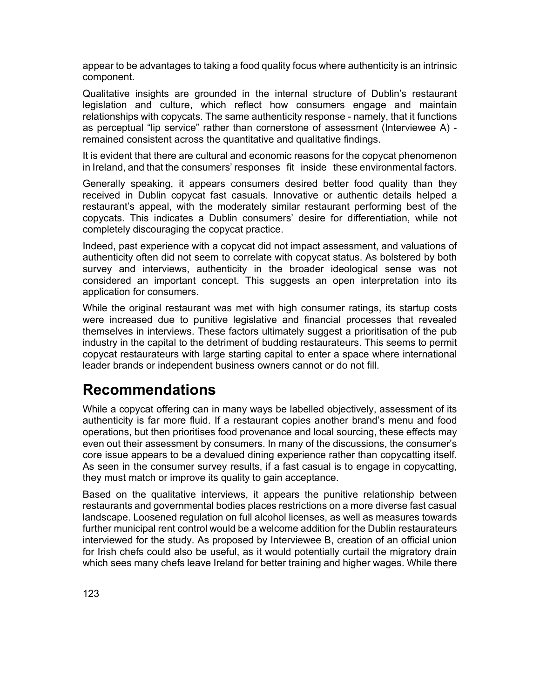appear to be advantages to taking a food quality focus where authenticity is an intrinsic component.

Qualitative insights are grounded in the internal structure of Dublin's restaurant legislation and culture, which reflect how consumers engage and maintain relationships with copycats. The same authenticity response - namely, that it functions as perceptual "lip service" rather than cornerstone of assessment (Interviewee A) remained consistent across the quantitative and qualitative findings.

It is evident that there are cultural and economic reasons for the copycat phenomenon in Ireland, and that the consumers' responses fit inside these environmental factors.

Generally speaking, it appears consumers desired better food quality than they received in Dublin copycat fast casuals. Innovative or authentic details helped a restaurant's appeal, with the moderately similar restaurant performing best of the copycats. This indicates a Dublin consumers' desire for differentiation, while not completely discouraging the copycat practice.

Indeed, past experience with a copycat did not impact assessment, and valuations of authenticity often did not seem to correlate with copycat status. As bolstered by both survey and interviews, authenticity in the broader ideological sense was not considered an important concept. This suggests an open interpretation into its application for consumers.

While the original restaurant was met with high consumer ratings, its startup costs were increased due to punitive legislative and financial processes that revealed themselves in interviews. These factors ultimately suggest a prioritisation of the pub industry in the capital to the detriment of budding restaurateurs. This seems to permit copycat restaurateurs with large starting capital to enter a space where international leader brands or independent business owners cannot or do not fill.

## **Recommendations**

While a copycat offering can in many ways be labelled objectively, assessment of its authenticity is far more fluid. If a restaurant copies another brand's menu and food operations, but then prioritises food provenance and local sourcing, these effects may even out their assessment by consumers. In many of the discussions, the consumer's core issue appears to be a devalued dining experience rather than copycatting itself. As seen in the consumer survey results, if a fast casual is to engage in copycatting, they must match or improve its quality to gain acceptance.

Based on the qualitative interviews, it appears the punitive relationship between restaurants and governmental bodies places restrictions on a more diverse fast casual landscape. Loosened regulation on full alcohol licenses, as well as measures towards further municipal rent control would be a welcome addition for the Dublin restaurateurs interviewed for the study. As proposed by Interviewee B, creation of an official union for Irish chefs could also be useful, as it would potentially curtail the migratory drain which sees many chefs leave Ireland for better training and higher wages. While there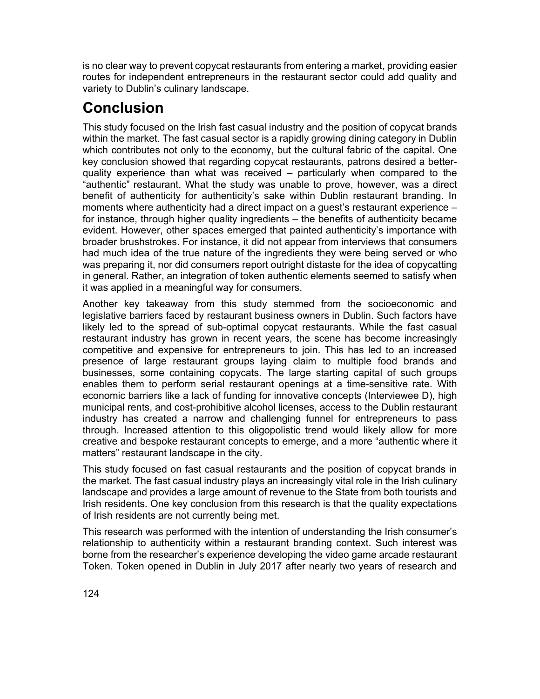is no clear way to prevent copycat restaurants from entering a market, providing easier routes for independent entrepreneurs in the restaurant sector could add quality and variety to Dublin's culinary landscape.

# **Conclusion**

This study focused on the Irish fast casual industry and the position of copycat brands within the market. The fast casual sector is a rapidly growing dining category in Dublin which contributes not only to the economy, but the cultural fabric of the capital. One key conclusion showed that regarding copycat restaurants, patrons desired a betterquality experience than what was received – particularly when compared to the "authentic" restaurant. What the study was unable to prove, however, was a direct benefit of authenticity for authenticity's sake within Dublin restaurant branding. In moments where authenticity had a direct impact on a guest's restaurant experience – for instance, through higher quality ingredients – the benefits of authenticity became evident. However, other spaces emerged that painted authenticity's importance with broader brushstrokes. For instance, it did not appear from interviews that consumers had much idea of the true nature of the ingredients they were being served or who was preparing it, nor did consumers report outright distaste for the idea of copycatting in general. Rather, an integration of token authentic elements seemed to satisfy when it was applied in a meaningful way for consumers.

Another key takeaway from this study stemmed from the socioeconomic and legislative barriers faced by restaurant business owners in Dublin. Such factors have likely led to the spread of sub-optimal copycat restaurants. While the fast casual restaurant industry has grown in recent years, the scene has become increasingly competitive and expensive for entrepreneurs to join. This has led to an increased presence of large restaurant groups laying claim to multiple food brands and businesses, some containing copycats. The large starting capital of such groups enables them to perform serial restaurant openings at a time-sensitive rate. With economic barriers like a lack of funding for innovative concepts (Interviewee D), high municipal rents, and cost-prohibitive alcohol licenses, access to the Dublin restaurant industry has created a narrow and challenging funnel for entrepreneurs to pass through. Increased attention to this oligopolistic trend would likely allow for more creative and bespoke restaurant concepts to emerge, and a more "authentic where it matters" restaurant landscape in the city.

This study focused on fast casual restaurants and the position of copycat brands in the market. The fast casual industry plays an increasingly vital role in the Irish culinary landscape and provides a large amount of revenue to the State from both tourists and Irish residents. One key conclusion from this research is that the quality expectations of Irish residents are not currently being met.

This research was performed with the intention of understanding the Irish consumer's relationship to authenticity within a restaurant branding context. Such interest was borne from the researcher's experience developing the video game arcade restaurant Token. Token opened in Dublin in July 2017 after nearly two years of research and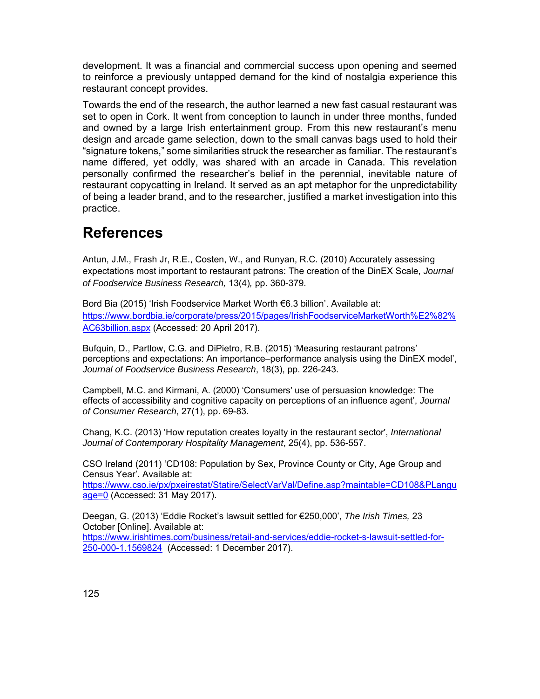development. It was a financial and commercial success upon opening and seemed to reinforce a previously untapped demand for the kind of nostalgia experience this restaurant concept provides.

Towards the end of the research, the author learned a new fast casual restaurant was set to open in Cork. It went from conception to launch in under three months, funded and owned by a large Irish entertainment group. From this new restaurant's menu design and arcade game selection, down to the small canvas bags used to hold their "signature tokens," some similarities struck the researcher as familiar. The restaurant's name differed, yet oddly, was shared with an arcade in Canada. This revelation personally confirmed the researcher's belief in the perennial, inevitable nature of restaurant copycatting in Ireland. It served as an apt metaphor for the unpredictability of being a leader brand, and to the researcher, justified a market investigation into this practice.

#### **References**

Antun, J.M., Frash Jr, R.E., Costen, W., and Runyan, R.C. (2010) Accurately assessing expectations most important to restaurant patrons: The creation of the DinEX Scale, *Journal of Foodservice Business Research,* 13(4)*,* pp. 360-379.

Bord Bia (2015) 'Irish Foodservice Market Worth €6.3 billion'. Available at: https://www.bordbia.ie/corporate/press/2015/pages/IrishFoodserviceMarketWorth%E2%82% AC63billion.aspx (Accessed: 20 April 2017).

Bufquin, D., Partlow, C.G. and DiPietro, R.B. (2015) 'Measuring restaurant patrons' perceptions and expectations: An importance–performance analysis using the DinEX model', *Journal of Foodservice Business Research*, 18(3), pp. 226-243.

Campbell, M.C. and Kirmani, A. (2000) 'Consumers' use of persuasion knowledge: The effects of accessibility and cognitive capacity on perceptions of an influence agent', *Journal of Consumer Research*, 27(1), pp. 69-83.

Chang, K.C. (2013) 'How reputation creates loyalty in the restaurant sector', *International Journal of Contemporary Hospitality Management*, 25(4), pp. 536-557.

CSO Ireland (2011) 'CD108: Population by Sex, Province County or City, Age Group and Census Year'. Available at: https://www.cso.ie/px/pxeirestat/Statire/SelectVarVal/Define.asp?maintable=CD108&PLangu age=0 (Accessed: 31 May 2017).

Deegan, G. (2013) 'Eddie Rocket's lawsuit settled for €250,000', *The Irish Times,* 23 October [Online]. Available at: https://www.irishtimes.com/business/retail-and-services/eddie-rocket-s-lawsuit-settled-for-250-000-1.1569824 (Accessed: 1 December 2017).